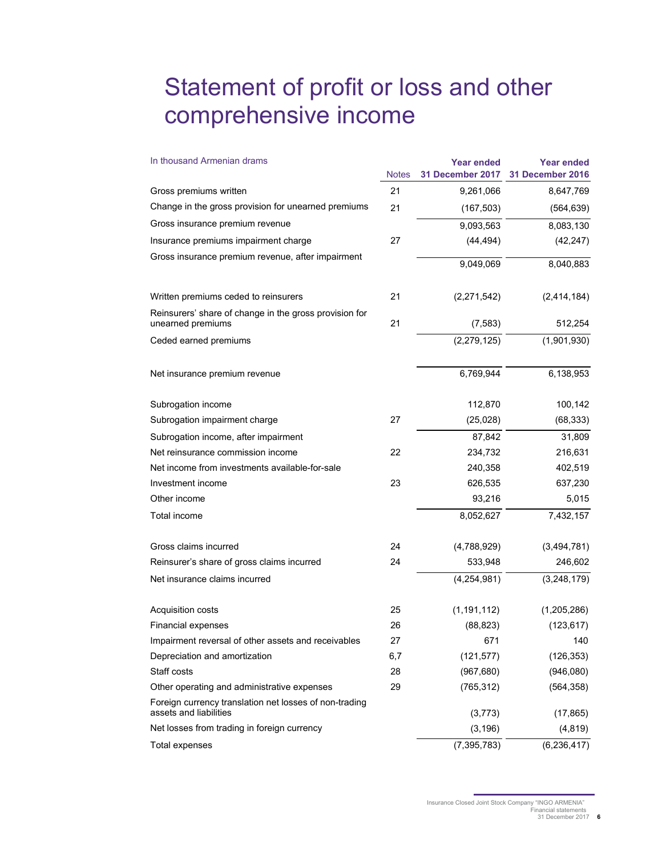## Statement of profit or loss and other comprehensive income

| In thousand Armenian drams                                                       | <b>Notes</b> | <b>Year ended</b><br>31 December 2017 | <b>Year ended</b><br>31 December 2016 |
|----------------------------------------------------------------------------------|--------------|---------------------------------------|---------------------------------------|
| Gross premiums written                                                           | 21           | 9,261,066                             | 8,647,769                             |
| Change in the gross provision for unearned premiums                              | 21           | (167, 503)                            | (564, 639)                            |
| Gross insurance premium revenue                                                  |              | 9,093,563                             | 8,083,130                             |
| Insurance premiums impairment charge                                             | 27           | (44, 494)                             | (42, 247)                             |
| Gross insurance premium revenue, after impairment                                |              | 9,049,069                             | 8,040,883                             |
| Written premiums ceded to reinsurers                                             | 21           | (2,271,542)                           | (2,414,184)                           |
| Reinsurers' share of change in the gross provision for<br>unearned premiums      | 21           | (7, 583)                              | 512,254                               |
| Ceded earned premiums                                                            |              | (2, 279, 125)                         | (1,901,930)                           |
| Net insurance premium revenue                                                    |              | 6,769,944                             | 6,138,953                             |
| Subrogation income                                                               |              | 112,870                               | 100,142                               |
| Subrogation impairment charge                                                    | 27           | (25,028)                              | (68, 333)                             |
| Subrogation income, after impairment                                             |              | 87,842                                | 31,809                                |
| Net reinsurance commission income                                                | 22           | 234,732                               | 216,631                               |
| Net income from investments available-for-sale                                   |              | 240,358                               | 402,519                               |
| Investment income                                                                | 23           | 626,535                               | 637,230                               |
| Other income                                                                     |              | 93,216                                | 5,015                                 |
| Total income                                                                     |              | 8,052,627                             | 7,432,157                             |
| Gross claims incurred                                                            | 24           | (4,788,929)                           | (3,494,781)                           |
| Reinsurer's share of gross claims incurred                                       | 24           | 533,948                               | 246,602                               |
| Net insurance claims incurred                                                    |              | (4,254,981)                           | (3,248,179)                           |
| Acquisition costs                                                                | 25           | (1, 191, 112)                         | (1,205,286)                           |
| <b>Financial expenses</b>                                                        | 26           | (88, 823)                             | (123, 617)                            |
| Impairment reversal of other assets and receivables                              | 27           | 671                                   | 140                                   |
| Depreciation and amortization                                                    | 6,7          | (121, 577)                            | (126, 353)                            |
| Staff costs                                                                      | 28           | (967, 680)                            | (946,080)                             |
| Other operating and administrative expenses                                      | 29           | (765, 312)                            | (564, 358)                            |
| Foreign currency translation net losses of non-trading<br>assets and liabilities |              | (3,773)                               | (17, 865)                             |
| Net losses from trading in foreign currency                                      |              | (3, 196)                              | (4, 819)                              |
| Total expenses                                                                   |              | (7, 395, 783)                         | (6, 236, 417)                         |

Insurance Closed Joint Stock Company "INGO ARMENIA" Financial statements 31 December 2017 **6**